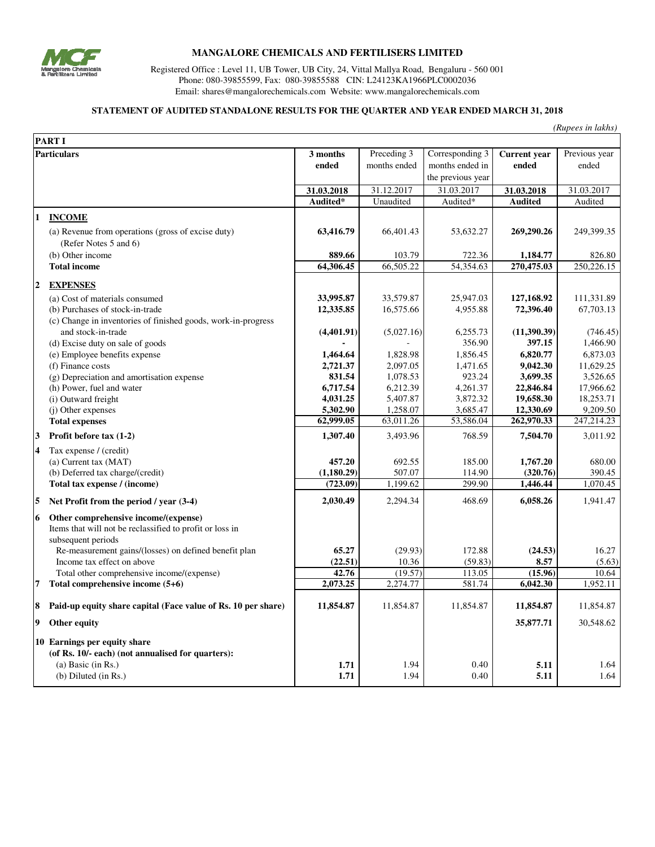

## **MANGALORE CHEMICALS AND FERTILISERS LIMITED**

Registered Office : Level 11, UB Tower, UB City, 24, Vittal Mallya Road, Bengaluru - 560 001 Phone: 080-39855599, Fax: 080-39855588 CIN: L24123KA1966PLC0002036 Email: shares@mangalorechemicals.com Website: www.mangalorechemicals.com

#### **STATEMENT OF AUDITED STANDALONE RESULTS FOR THE QUARTER AND YEAR ENDED MARCH 31, 2018**

*(Rupees in lakhs)*

|                         | <b>PART I</b>                                                                                    |            |              |                   |                     |               |
|-------------------------|--------------------------------------------------------------------------------------------------|------------|--------------|-------------------|---------------------|---------------|
| <b>Particulars</b>      |                                                                                                  | 3 months   | Preceding 3  | Corresponding 3   | <b>Current</b> year | Previous year |
|                         |                                                                                                  | ended      | months ended | months ended in   | ended               | ended         |
|                         |                                                                                                  |            |              | the previous year |                     |               |
|                         |                                                                                                  | 31.03.2018 | 31.12.2017   | 31.03.2017        | 31.03.2018          | 31.03.2017    |
|                         |                                                                                                  | Audited*   | Unaudited    | Audited*          | <b>Audited</b>      | Audited       |
| 1                       | <b>INCOME</b>                                                                                    |            |              |                   |                     |               |
|                         | (a) Revenue from operations (gross of excise duty)                                               | 63,416.79  | 66,401.43    | 53,632.27         | 269,290.26          | 249,399.35    |
|                         | (Refer Notes 5 and 6)                                                                            |            |              |                   |                     |               |
|                         | (b) Other income                                                                                 | 889.66     | 103.79       | 722.36            | 1,184.77            | 826.80        |
|                         | <b>Total income</b>                                                                              | 64,306.45  | 66,505.22    | 54,354.63         | 270,475.03          | 250, 226.15   |
|                         |                                                                                                  |            |              |                   |                     |               |
| $\boldsymbol{2}$        | <b>EXPENSES</b>                                                                                  |            |              |                   |                     |               |
|                         | (a) Cost of materials consumed                                                                   | 33,995.87  | 33,579.87    | 25,947.03         | 127,168.92          | 111,331.89    |
|                         | (b) Purchases of stock-in-trade<br>(c) Change in inventories of finished goods, work-in-progress | 12,335.85  | 16,575.66    | 4,955.88          | 72,396.40           | 67,703.13     |
|                         | and stock-in-trade                                                                               | (4,401.91) | (5,027.16)   | 6,255.73          | (11,390.39)         | (746.45)      |
|                         | (d) Excise duty on sale of goods                                                                 |            |              | 356.90            | 397.15              | 1,466.90      |
|                         | (e) Employee benefits expense                                                                    | 1,464.64   | 1,828.98     | 1,856.45          | 6,820.77            | 6,873.03      |
|                         | (f) Finance costs                                                                                | 2,721.37   | 2,097.05     | 1,471.65          | 9,042.30            | 11,629.25     |
|                         | (g) Depreciation and amortisation expense                                                        | 831.54     | 1,078.53     | 923.24            | 3,699.35            | 3,526.65      |
|                         | (h) Power, fuel and water                                                                        | 6,717.54   | 6,212.39     | 4,261.37          | 22,846.84           | 17,966.62     |
|                         | (i) Outward freight                                                                              | 4,031.25   | 5,407.87     | 3,872.32          | 19,658.30           | 18,253.71     |
|                         | (j) Other expenses                                                                               | 5,302.90   | 1,258.07     | 3,685.47          | 12,330.69           | 9,209.50      |
|                         | <b>Total expenses</b>                                                                            | 62,999.05  | 63,011.26    | 53,586.04         | 262,970.33          | 247,214.23    |
| 3                       | Profit before tax (1-2)                                                                          | 1,307.40   | 3,493.96     | 768.59            | 7,504.70            | 3,011.92      |
| $\overline{\mathbf{4}}$ | Tax expense / (credit)                                                                           |            |              |                   |                     |               |
|                         | (a) Current tax (MAT)                                                                            | 457.20     | 692.55       | 185.00            | 1,767.20            | 680.00        |
|                         | (b) Deferred tax charge/(credit)                                                                 | (1,180.29) | 507.07       | 114.90            | (320.76)            | 390.45        |
|                         | Total tax expense / (income)                                                                     | (723.09)   | 1,199.62     | 299.90            | 1,446.44            | 1,070.45      |
| 5                       | Net Profit from the period / year (3-4)                                                          | 2,030.49   | 2,294.34     | 468.69            | 6,058.26            | 1,941.47      |
| 6                       | Other comprehensive income/(expense)                                                             |            |              |                   |                     |               |
|                         | Items that will not be reclassified to profit or loss in                                         |            |              |                   |                     |               |
|                         | subsequent periods                                                                               |            |              |                   |                     |               |
|                         | Re-measurement gains/(losses) on defined benefit plan                                            | 65.27      | (29.93)      | 172.88            | (24.53)             | 16.27         |
|                         | Income tax effect on above                                                                       | (22.51)    | 10.36        | (59.83)           | 8.57                | (5.63)        |
|                         | Total other comprehensive income/(expense)                                                       | 42.76      | (19.57)      | 113.05            | (15.96)             | 10.64         |
| 7                       | Total comprehensive income (5+6)                                                                 | 2,073.25   | 2,274.77     | 581.74            | 6,042.30            | 1,952.11      |
| 8                       | Paid-up equity share capital (Face value of Rs. 10 per share)                                    | 11,854.87  | 11,854.87    | 11,854.87         | 11,854.87           | 11,854.87     |
| 9                       | Other equity                                                                                     |            |              |                   | 35,877.71           | 30,548.62     |
|                         | 10 Earnings per equity share                                                                     |            |              |                   |                     |               |
|                         | (of Rs. 10/- each) (not annualised for quarters):                                                |            |              |                   |                     |               |
|                         | $(a)$ Basic $(in Rs.)$                                                                           | 1.71       | 1.94         | 0.40              | 5.11                | 1.64          |
|                         | (b) Diluted (in Rs.)                                                                             | 1.71       | 1.94         | 0.40              | 5.11                | 1.64          |
|                         |                                                                                                  |            |              |                   |                     |               |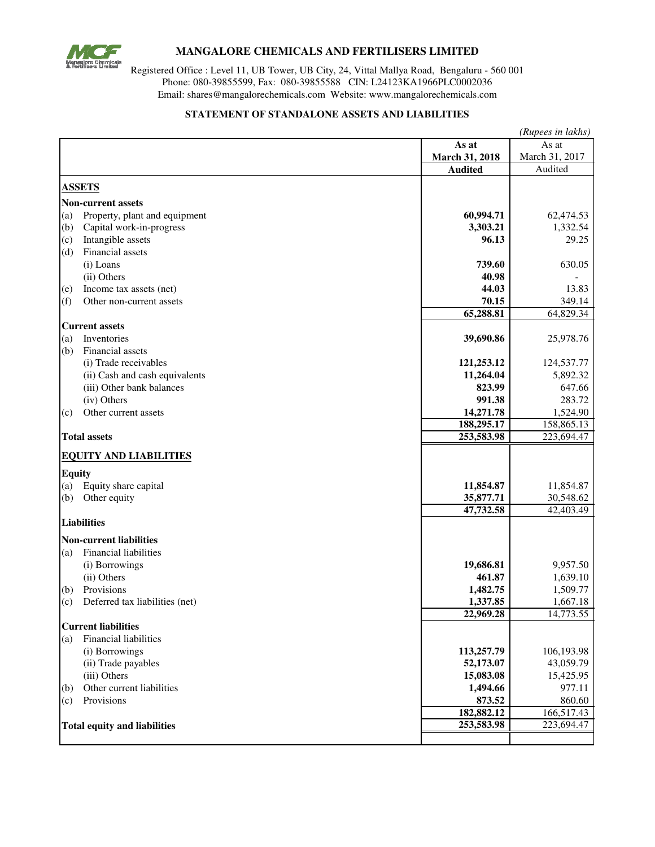

# **MANGALORE CHEMICALS AND FERTILISERS LIMITED**

Registered Office : Level 11, UB Tower, UB City, 24, Vittal Mallya Road, Bengaluru - 560 001 Phone: 080-39855599, Fax: 080-39855588 CIN: L24123KA1966PLC0002036 Email: shares@mangalorechemicals.com Website: www.mangalorechemicals.com

#### **STATEMENT OF STANDALONE ASSETS AND LIABILITIES**

|                    |                                     | (Rupees in lakhs)        |                |  |  |
|--------------------|-------------------------------------|--------------------------|----------------|--|--|
|                    |                                     | As at                    | As at          |  |  |
|                    |                                     | March 31, 2018           | March 31, 2017 |  |  |
|                    |                                     | <b>Audited</b>           | Audited        |  |  |
|                    | <b>ASSETS</b>                       |                          |                |  |  |
|                    |                                     |                          |                |  |  |
|                    | <b>Non-current assets</b>           |                          |                |  |  |
| (a)                | Property, plant and equipment       | 60,994.71                | 62,474.53      |  |  |
| (b)                | Capital work-in-progress            | 3,303.21                 | 1,332.54       |  |  |
| (c)                | Intangible assets                   | 96.13                    | 29.25          |  |  |
| (d)                | Financial assets                    |                          |                |  |  |
|                    | (i) Loans                           | 739.60                   | 630.05         |  |  |
|                    | (ii) Others                         | 40.98                    |                |  |  |
| (e)                | Income tax assets (net)             | 44.03                    | 13.83          |  |  |
| (f)                | Other non-current assets            | 70.15                    | 349.14         |  |  |
|                    |                                     | 65,288.81                | 64,829.34      |  |  |
|                    | <b>Current assets</b>               |                          |                |  |  |
| (a)                | Inventories                         | 39,690.86                | 25,978.76      |  |  |
| (b)                | Financial assets                    |                          |                |  |  |
|                    | (i) Trade receivables               | 121,253.12               | 124,537.77     |  |  |
|                    | (ii) Cash and cash equivalents      | 11,264.04                | 5,892.32       |  |  |
|                    | (iii) Other bank balances           | 823.99                   | 647.66         |  |  |
|                    | (iv) Others                         | 991.38                   | 283.72         |  |  |
| (c)                | Other current assets                | 14,271.78                | 1,524.90       |  |  |
|                    |                                     | 188,295.17               | 158,865.13     |  |  |
|                    | <b>Total assets</b>                 | 253,583.98               | 223,694.47     |  |  |
|                    |                                     |                          |                |  |  |
|                    | <b>EQUITY AND LIABILITIES</b>       |                          |                |  |  |
| <b>Equity</b>      |                                     |                          |                |  |  |
| (a)                | Equity share capital                | 11,854.87                | 11,854.87      |  |  |
| (b)                | Other equity                        | 35,877.71                | 30,548.62      |  |  |
|                    |                                     | $\overline{47,}732.58$   | 42,403.49      |  |  |
| <b>Liabilities</b> |                                     |                          |                |  |  |
|                    | <b>Non-current liabilities</b>      |                          |                |  |  |
| (a)                | <b>Financial liabilities</b>        |                          |                |  |  |
|                    | (i) Borrowings                      | 19,686.81                | 9,957.50       |  |  |
|                    | (ii) Others                         | 461.87                   | 1,639.10       |  |  |
| (b)                | Provisions                          | 1,482.75                 | 1,509.77       |  |  |
| (c)                | Deferred tax liabilities (net)      | 1,337.85                 | 1,667.18       |  |  |
|                    |                                     | 22,969.28                | 14,773.55      |  |  |
|                    | <b>Current liabilities</b>          |                          |                |  |  |
| (a)                | <b>Financial liabilities</b>        |                          |                |  |  |
|                    | (i) Borrowings                      | 113,257.79               | 106,193.98     |  |  |
|                    | (ii) Trade payables                 | 52,173.07                | 43,059.79      |  |  |
|                    | (iii) Others                        | 15,083.08                | 15,425.95      |  |  |
|                    | Other current liabilities           | 1,494.66                 | 977.11         |  |  |
| (b)                | Provisions                          |                          |                |  |  |
| (c)                |                                     | 873.52                   | 860.60         |  |  |
|                    |                                     | 182,882.12<br>253,583.98 | 166,517.43     |  |  |
|                    | <b>Total equity and liabilities</b> |                          | 223,694.47     |  |  |
|                    |                                     |                          |                |  |  |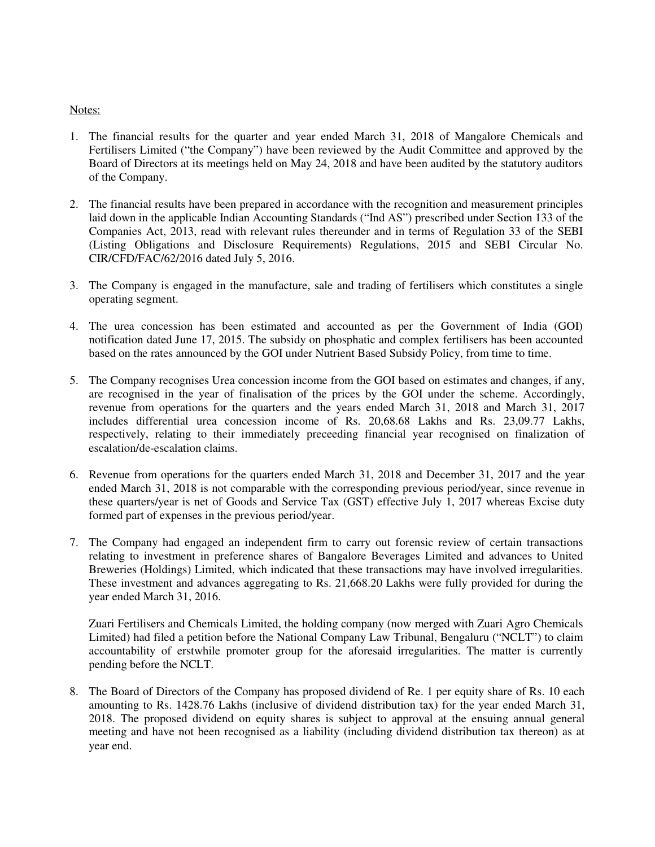### Notes:

- 1. The financial results for the quarter and year ended March 31, 2018 of Mangalore Chemicals and Fertilisers Limited ("the Company") have been reviewed by the Audit Committee and approved by the Board of Directors at its meetings held on May 24, 2018 and have been audited by the statutory auditors of the Company.
- 2. The financial results have been prepared in accordance with the recognition and measurement principles laid down in the applicable Indian Accounting Standards ("Ind AS") prescribed under Section 133 of the Companies Act, 2013, read with relevant rules thereunder and in terms of Regulation 33 of the SEBI (Listing Obligations and Disclosure Requirements) Regulations, 2015 and SEBI Circular No. CIR/CFD/FAC/62/2016 dated July 5, 2016.
- 3. The Company is engaged in the manufacture, sale and trading of fertilisers which constitutes a single operating segment.
- 4. The urea concession has been estimated and accounted as per the Government of India (GOI) notification dated June 17, 2015. The subsidy on phosphatic and complex fertilisers has been accounted based on the rates announced by the GOI under Nutrient Based Subsidy Policy, from time to time.
- 5. The Company recognises Urea concession income from the GOI based on estimates and changes, if any, are recognised in the year of finalisation of the prices by the GOI under the scheme. Accordingly, revenue from operations for the quarters and the years ended March 31, 2018 and March 31, 2017 includes differential urea concession income of Rs. 20,68.68 Lakhs and Rs. 23,09.77 Lakhs, respectively, relating to their immediately preceeding financial year recognised on finalization of escalation/de-escalation claims.
- 6. Revenue from operations for the quarters ended March 31, 2018 and December 31, 2017 and the year ended March 31, 2018 is not comparable with the corresponding previous period/year, since revenue in these quarters/year is net of Goods and Service Tax (GST) effective July 1, 2017 whereas Excise duty formed part of expenses in the previous period/year.
- 7. The Company had engaged an independent firm to carry out forensic review of certain transactions relating to investment in preference shares of Bangalore Beverages Limited and advances to United Breweries (Holdings) Limited, which indicated that these transactions may have involved irregularities. These investment and advances aggregating to Rs. 21,668.20 Lakhs were fully provided for during the year ended March 31, 2016.

Zuari Fertilisers and Chemicals Limited, the holding company (now merged with Zuari Agro Chemicals Limited) had filed a petition before the National Company Law Tribunal, Bengaluru ("NCLT") to claim accountability of erstwhile promoter group for the aforesaid irregularities. The matter is currently pending before the NCLT.

8. The Board of Directors of the Company has proposed dividend of Re. 1 per equity share of Rs. 10 each amounting to Rs. 1428.76 Lakhs (inclusive of dividend distribution tax) for the year ended March 31, 2018. The proposed dividend on equity shares is subject to approval at the ensuing annual general meeting and have not been recognised as a liability (including dividend distribution tax thereon) as at year end.